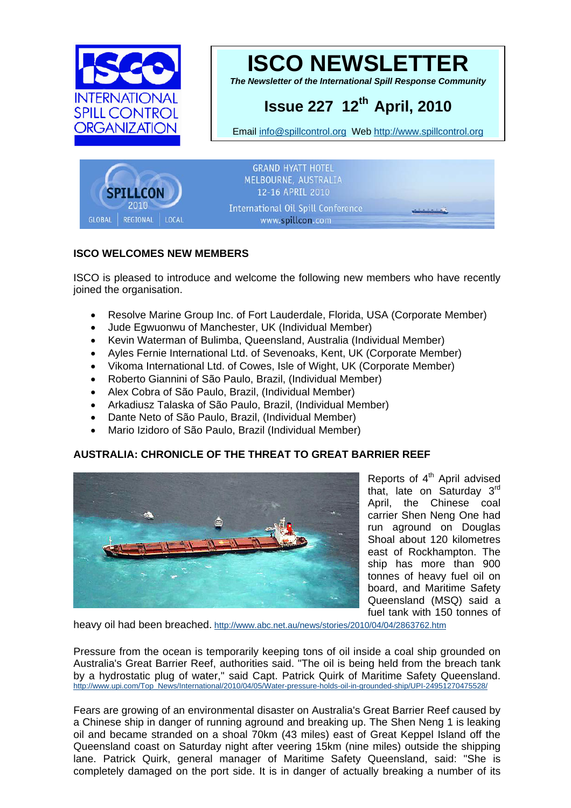



*The Newsletter of the International Spill Response Community* 

# **Issue 227 12th April, 2010**

Email [info@spillcontrol.org](mailto:info@spillcontrol.org) Web [http://www.spillcontrol.org](http://www.spillcontrol.org/) 



# **ISCO WELCOMES NEW MEMBERS**

ISCO is pleased to introduce and welcome the following new members who have recently joined the organisation.

- Resolve Marine Group Inc. of Fort Lauderdale, Florida, USA (Corporate Member)
- Jude Egwuonwu of Manchester, UK (Individual Member)
- Kevin Waterman of Bulimba, Queensland, Australia (Individual Member)
- Ayles Fernie International Ltd. of Sevenoaks, Kent, UK (Corporate Member)
- Vikoma International Ltd. of Cowes, Isle of Wight, UK (Corporate Member)
- Roberto Giannini of São Paulo, Brazil, (Individual Member)
- Alex Cobra of São Paulo, Brazil, (Individual Member)
- Arkadiusz Talaska of São Paulo, Brazil, (Individual Member)
- Dante Neto of São Paulo, Brazil, (Individual Member)
- Mario Izidoro of São Paulo, Brazil (Individual Member)

# **AUSTRALIA: CHRONICLE OF THE THREAT TO GREAT BARRIER REEF**



Reports of 4<sup>th</sup> April advised that, late on Saturday 3rd April, the Chinese coal carrier Shen Neng One had run aground on Douglas Shoal about 120 kilometres east of Rockhampton. The ship has more than 900 tonnes of heavy fuel oil on board, and Maritime Safety Queensland (MSQ) said a fuel tank with 150 tonnes of

heavy oil had been breached. <http://www.abc.net.au/news/stories/2010/04/04/2863762.htm>

Pressure from the ocean is temporarily keeping tons of oil inside a coal ship grounded on Australia's Great Barrier Reef, authorities said. "The oil is being held from the breach tank by a hydrostatic plug of water," said Capt. Patrick Quirk of Maritime Safety Queensland. [http://www.upi.com/Top\\_News/International/2010/04/05/Water-pressure-holds-oil-in-grounded-ship/UPI-24951270475528/](http://www.upi.com/Top_News/International/2010/04/05/Water-pressure-holds-oil-in-grounded-ship/UPI-24951270475528/)

Fears are growing of an environmental disaster on Australia's Great Barrier Reef caused by a Chinese ship in danger of running aground and breaking up. The Shen Neng 1 is leaking oil and became stranded on a shoal 70km (43 miles) east of Great Keppel Island off the Queensland coast on Saturday night after veering 15km (nine miles) outside the shipping lane. Patrick Quirk, general manager of Maritime Safety Queensland, said: "She is completely damaged on the port side. It is in danger of actually breaking a number of its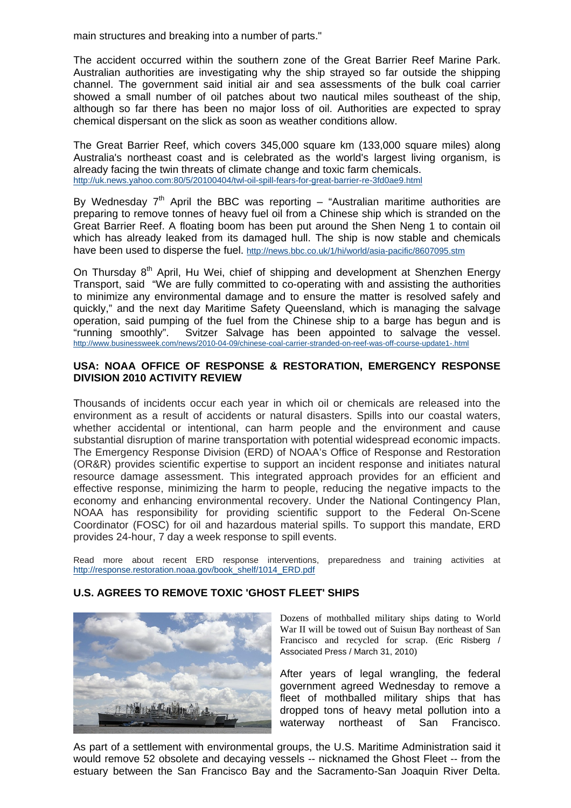main structures and breaking into a number of parts."

The accident occurred within the southern zone of the Great Barrier Reef Marine Park. Australian authorities are investigating why the ship strayed so far outside the shipping channel. The government said initial air and sea assessments of the bulk coal carrier showed a small number of oil patches about two nautical miles southeast of the ship, although so far there has been no major loss of oil. Authorities are expected to spray chemical dispersant on the slick as soon as weather conditions allow.

The Great Barrier Reef, which covers 345,000 square km (133,000 square miles) along Australia's northeast coast and is celebrated as the world's largest living organism, is already facing the twin threats of climate change and toxic farm chemicals. [http://uk.news.yahoo.com:80/5/20100404/twl-oil-spill-fears-for-great-barrier-re-3fd0ae9.html](http://uk.news.yahoo.com/5/20100404/twl-oil-spill-fears-for-great-barrier-re-3fd0ae9.html)

By Wednesday  $7<sup>th</sup>$  April the BBC was reporting – "Australian maritime authorities are preparing to remove tonnes of heavy fuel oil from a Chinese ship which is stranded on the Great Barrier Reef. A floating boom has been put around the Shen Neng 1 to contain oil which has already leaked from its damaged hull. The ship is now stable and chemicals have been used to disperse the fuel.<http://news.bbc.co.uk/1/hi/world/asia-pacific/8607095.stm>

On Thursday 8<sup>th</sup> April, Hu Wei, chief of shipping and development at Shenzhen Energy Transport, said "We are fully committed to co-operating with and assisting the authorities to minimize any environmental damage and to ensure the matter is resolved safely and quickly," and the next day Maritime Safety Queensland, which is managing the salvage operation, said pumping of the fuel from the Chinese ship to a barge has begun and is "running smoothly". Svitzer Salvage has been appointed to salvage the [v](http://www.businessweek.com/news/2010-04-09/chinese-coal-carrier-stranded-on-reef-was-off-course-update1-.html)essel. <http://www.businessweek.com/news/2010-04-09/chinese-coal-carrier-stranded-on-reef-was-off-course-update1-.html>

#### **USA: NOAA OFFICE OF RESPONSE & RESTORATION, EMERGENCY RESPONSE DIVISION 2010 ACTIVITY REVIEW**

Thousands of incidents occur each year in which oil or chemicals are released into the environment as a result of accidents or natural disasters. Spills into our coastal waters, whether accidental or intentional, can harm people and the environment and cause substantial disruption of marine transportation with potential widespread economic impacts. The Emergency Response Division (ERD) of NOAA's Office of Response and Restoration (OR&R) provides scientific expertise to support an incident response and initiates natural resource damage assessment. This integrated approach provides for an efficient and effective response, minimizing the harm to people, reducing the negative impacts to the economy and enhancing environmental recovery. Under the National Contingency Plan, NOAA has responsibility for providing scientific support to the Federal On-Scene Coordinator (FOSC) for oil and hazardous material spills. To support this mandate, ERD provides 24-hour, 7 day a week response to spill events.

Read more about recent ERD response interventions, preparedness and training activities at [http://response.restoration.noaa.gov/book\\_shelf/1014\\_ERD.pdf](http://response.restoration.noaa.gov/book_shelf/1014_ERD.pdf)

#### **U.S. AGREES TO REMOVE TOXIC 'GHOST FLEET' SHIPS**



Dozens of mothballed military ships dating to World War II will be towed out of Suisun Bay northeast of San Francisco and recycled for scrap. (Eric Risberg / Associated Press / March 31, 2010)

After years of legal wrangling, the federal government agreed Wednesday to remove a fleet of mothballed military ships that has dropped tons of heavy metal pollution into a waterway northeast of San Francisco.

As part of a settlement with environmental groups, the U.S. Maritime Administration said it would remove 52 obsolete and decaying vessels -- nicknamed the Ghost Fleet -- from the estuary between the San Francisco Bay and the Sacramento-San Joaquin River Delta.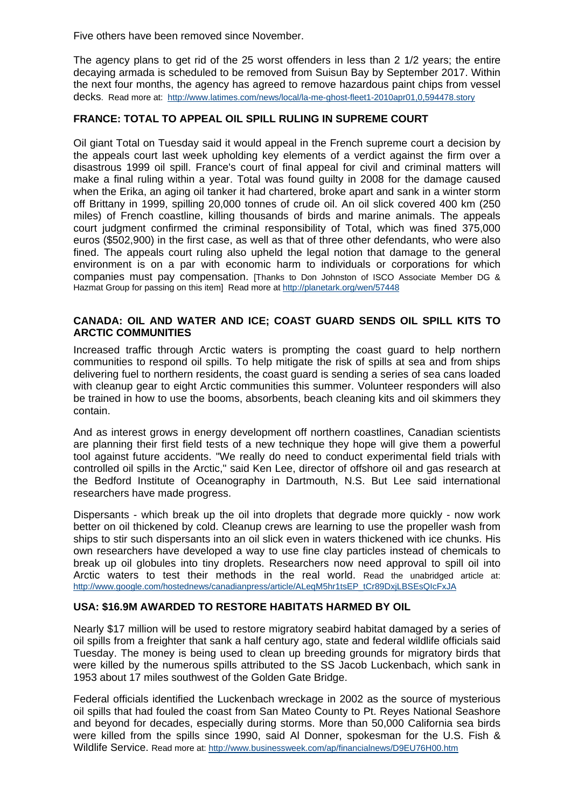Five others have been removed since November.

The agency plans to get rid of the 25 worst offenders in less than 2 1/2 years; the entire decaying armada is scheduled to be removed from Suisun Bay by September 2017. Within the next four months, the agency has agreed to remove hazardous paint chips from vessel decks. Read more at: <http://www.latimes.com/news/local/la-me-ghost-fleet1-2010apr01,0,594478.story>

# **FRANCE: TOTAL TO APPEAL OIL SPILL RULING IN SUPREME COURT**

Oil giant Total on Tuesday said it would appeal in the French supreme court a decision by the appeals court last week upholding key elements of a verdict against the firm over a disastrous 1999 oil spill. France's court of final appeal for civil and criminal matters will make a final ruling within a year. Total was found guilty in 2008 for the damage caused when the Erika, an aging oil tanker it had chartered, broke apart and sank in a winter storm off Brittany in 1999, spilling 20,000 tonnes of crude oil. An oil slick covered 400 km (250 miles) of French coastline, killing thousands of birds and marine animals. The appeals court judgment confirmed the criminal responsibility of Total, which was fined 375,000 euros (\$502,900) in the first case, as well as that of three other defendants, who were also fined. The appeals court ruling also upheld the legal notion that damage to the general environment is on a par with economic harm to individuals or corporations for which companies must pay compensation. [Thanks to Don Johnston of ISCO Associate Member DG & Hazmat Group for passing on this item] Read more at <http://planetark.org/wen/57448>

#### **CANADA: OIL AND WATER AND ICE; COAST GUARD SENDS OIL SPILL KITS TO ARCTIC COMMUNITIES**

Increased traffic through Arctic waters is prompting the coast guard to help northern communities to respond oil spills. To help mitigate the risk of spills at sea and from ships delivering fuel to northern residents, the coast guard is sending a series of sea cans loaded with cleanup gear to eight Arctic communities this summer. Volunteer responders will also be trained in how to use the booms, absorbents, beach cleaning kits and oil skimmers they contain.

And as interest grows in energy development off northern coastlines, Canadian scientists are planning their first field tests of a new technique they hope will give them a powerful tool against future accidents. "We really do need to conduct experimental field trials with controlled oil spills in the Arctic," said Ken Lee, director of offshore oil and gas research at the Bedford Institute of Oceanography in Dartmouth, N.S. But Lee said international researchers have made progress.

Dispersants - which break up the oil into droplets that degrade more quickly - now work better on oil thickened by cold. Cleanup crews are learning to use the propeller wash from ships to stir such dispersants into an oil slick even in waters thickened with ice chunks. His own researchers have developed a way to use fine clay particles instead of chemicals to break up oil globules into tiny droplets. Researchers now need approval to spill oil into Arctic waters to test their methods in the real world. Read the unabridged article at: [http://www.google.com/hostednews/canadianpress/article/ALeqM5hr1tsEP\\_tCr89DxjLBSEsQIcFxJA](http://www.google.com/hostednews/canadianpress/article/ALeqM5hr1tsEP_tCr89DxjLBSEsQIcFxJA)

### **USA: \$16.9M AWARDED TO RESTORE HABITATS HARMED BY OIL**

Nearly \$17 million will be used to restore migratory seabird habitat damaged by a series of oil spills from a freighter that sank a half century ago, state and federal wildlife officials said Tuesday. The money is being used to clean up breeding grounds for migratory birds that were killed by the numerous spills attributed to the SS Jacob Luckenbach, which sank in 1953 about 17 miles southwest of the Golden Gate Bridge.

Federal officials identified the Luckenbach wreckage in 2002 as the source of mysterious oil spills that had fouled the coast from San Mateo County to Pt. Reyes National Seashore and beyond for decades, especially during storms. More than 50,000 California sea birds were killed from the spills since 1990, said Al Donner, spokesman for the U.S. Fish & Wildlife Service. Read more at:<http://www.businessweek.com/ap/financialnews/D9EU76H00.htm>